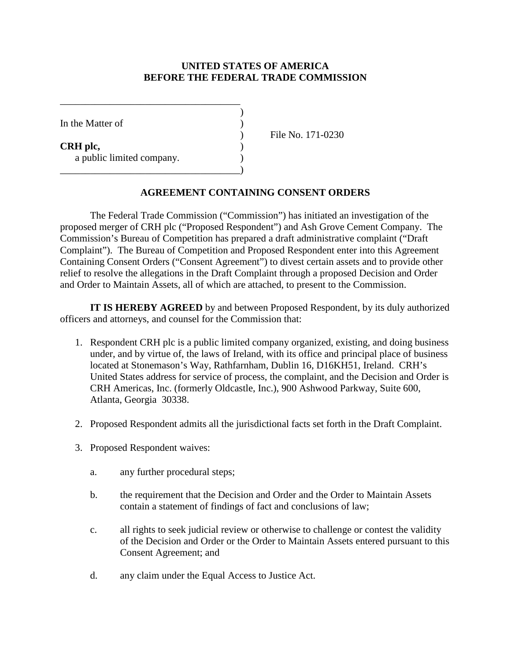## **UNITED STATES OF AMERICA BEFORE THE FEDERAL TRADE COMMISSION**

)

| In the Matter of                      |  |
|---------------------------------------|--|
| CRH plc,<br>a public limited company. |  |
|                                       |  |

\_\_\_\_\_\_\_\_\_\_\_\_\_\_\_\_\_\_\_\_\_\_\_\_\_\_\_\_\_\_\_\_\_\_\_\_

) File No. 171-0230

## **AGREEMENT CONTAINING CONSENT ORDERS**

The Federal Trade Commission ("Commission") has initiated an investigation of the proposed merger of CRH plc ("Proposed Respondent") and Ash Grove Cement Company. The Commission's Bureau of Competition has prepared a draft administrative complaint ("Draft Complaint"). The Bureau of Competition and Proposed Respondent enter into this Agreement Containing Consent Orders ("Consent Agreement") to divest certain assets and to provide other relief to resolve the allegations in the Draft Complaint through a proposed Decision and Order and Order to Maintain Assets, all of which are attached, to present to the Commission.

**IT IS HEREBY AGREED** by and between Proposed Respondent, by its duly authorized officers and attorneys, and counsel for the Commission that:

- 1. Respondent CRH plc is a public limited company organized, existing, and doing business under, and by virtue of, the laws of Ireland, with its office and principal place of business located at Stonemason's Way, Rathfarnham, Dublin 16, D16KH51, Ireland. CRH's United States address for service of process, the complaint, and the Decision and Order is CRH Americas, Inc. (formerly Oldcastle, Inc.), 900 Ashwood Parkway, Suite 600, Atlanta, Georgia 30338.
- 2. Proposed Respondent admits all the jurisdictional facts set forth in the Draft Complaint.
- 3. Proposed Respondent waives:
	- a. any further procedural steps;
	- b. the requirement that the Decision and Order and the Order to Maintain Assets contain a statement of findings of fact and conclusions of law;
	- c. all rights to seek judicial review or otherwise to challenge or contest the validity of the Decision and Order or the Order to Maintain Assets entered pursuant to this Consent Agreement; and
	- d. any claim under the Equal Access to Justice Act.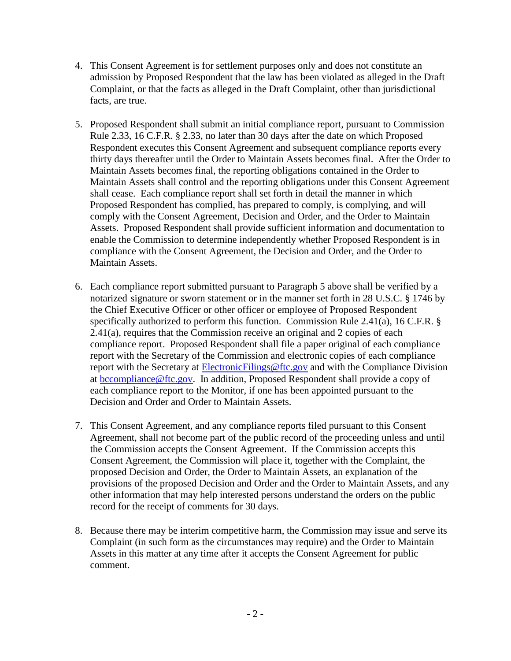- 4. This Consent Agreement is for settlement purposes only and does not constitute an admission by Proposed Respondent that the law has been violated as alleged in the Draft Complaint, or that the facts as alleged in the Draft Complaint, other than jurisdictional facts, are true.
- 5. Proposed Respondent shall submit an initial compliance report, pursuant to Commission Rule 2.33, 16 C.F.R. § 2.33, no later than 30 days after the date on which Proposed Respondent executes this Consent Agreement and subsequent compliance reports every thirty days thereafter until the Order to Maintain Assets becomes final. After the Order to Maintain Assets becomes final, the reporting obligations contained in the Order to Maintain Assets shall control and the reporting obligations under this Consent Agreement shall cease. Each compliance report shall set forth in detail the manner in which Proposed Respondent has complied, has prepared to comply, is complying, and will comply with the Consent Agreement, Decision and Order, and the Order to Maintain Assets. Proposed Respondent shall provide sufficient information and documentation to enable the Commission to determine independently whether Proposed Respondent is in compliance with the Consent Agreement, the Decision and Order, and the Order to Maintain Assets.
- 6. Each compliance report submitted pursuant to Paragraph 5 above shall be verified by a notarized signature or sworn statement or in the manner set forth in 28 U.S.C. § 1746 by the Chief Executive Officer or other officer or employee of Proposed Respondent specifically authorized to perform this function. Commission Rule 2.41(a), 16 C.F.R. § 2.41(a), requires that the Commission receive an original and 2 copies of each compliance report. Proposed Respondent shall file a paper original of each compliance report with the Secretary of the Commission and electronic copies of each compliance report with the Secretary at [ElectronicFilings@ftc.gov](mailto:ElectronicFilings@ftc.gov) and with the Compliance Division at [bccompliance@ftc.gov.](mailto:bccompliance@ftc.gov) In addition, Proposed Respondent shall provide a copy of each compliance report to the Monitor, if one has been appointed pursuant to the Decision and Order and Order to Maintain Assets.
- 7. This Consent Agreement, and any compliance reports filed pursuant to this Consent Agreement, shall not become part of the public record of the proceeding unless and until the Commission accepts the Consent Agreement. If the Commission accepts this Consent Agreement, the Commission will place it, together with the Complaint, the proposed Decision and Order, the Order to Maintain Assets, an explanation of the provisions of the proposed Decision and Order and the Order to Maintain Assets, and any other information that may help interested persons understand the orders on the public record for the receipt of comments for 30 days.
- 8. Because there may be interim competitive harm, the Commission may issue and serve its Complaint (in such form as the circumstances may require) and the Order to Maintain Assets in this matter at any time after it accepts the Consent Agreement for public comment.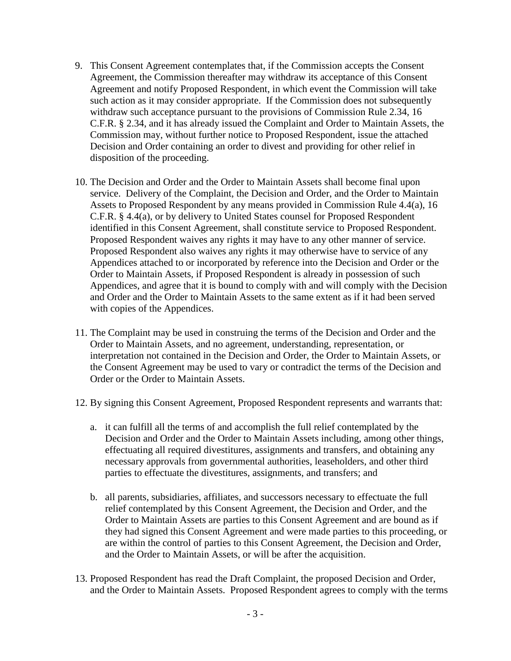- 9. This Consent Agreement contemplates that, if the Commission accepts the Consent Agreement, the Commission thereafter may withdraw its acceptance of this Consent Agreement and notify Proposed Respondent, in which event the Commission will take such action as it may consider appropriate. If the Commission does not subsequently withdraw such acceptance pursuant to the provisions of Commission Rule 2.34, 16 C.F.R. § 2.34, and it has already issued the Complaint and Order to Maintain Assets, the Commission may, without further notice to Proposed Respondent, issue the attached Decision and Order containing an order to divest and providing for other relief in disposition of the proceeding.
- 10. The Decision and Order and the Order to Maintain Assets shall become final upon service. Delivery of the Complaint, the Decision and Order, and the Order to Maintain Assets to Proposed Respondent by any means provided in Commission Rule 4.4(a), 16 C.F.R. § 4.4(a), or by delivery to United States counsel for Proposed Respondent identified in this Consent Agreement, shall constitute service to Proposed Respondent. Proposed Respondent waives any rights it may have to any other manner of service. Proposed Respondent also waives any rights it may otherwise have to service of any Appendices attached to or incorporated by reference into the Decision and Order or the Order to Maintain Assets, if Proposed Respondent is already in possession of such Appendices, and agree that it is bound to comply with and will comply with the Decision and Order and the Order to Maintain Assets to the same extent as if it had been served with copies of the Appendices.
- 11. The Complaint may be used in construing the terms of the Decision and Order and the Order to Maintain Assets, and no agreement, understanding, representation, or interpretation not contained in the Decision and Order, the Order to Maintain Assets, or the Consent Agreement may be used to vary or contradict the terms of the Decision and Order or the Order to Maintain Assets.
- 12. By signing this Consent Agreement, Proposed Respondent represents and warrants that:
	- a. it can fulfill all the terms of and accomplish the full relief contemplated by the Decision and Order and the Order to Maintain Assets including, among other things, effectuating all required divestitures, assignments and transfers, and obtaining any necessary approvals from governmental authorities, leaseholders, and other third parties to effectuate the divestitures, assignments, and transfers; and
	- b. all parents, subsidiaries, affiliates, and successors necessary to effectuate the full relief contemplated by this Consent Agreement, the Decision and Order, and the Order to Maintain Assets are parties to this Consent Agreement and are bound as if they had signed this Consent Agreement and were made parties to this proceeding, or are within the control of parties to this Consent Agreement, the Decision and Order, and the Order to Maintain Assets, or will be after the acquisition.
- 13. Proposed Respondent has read the Draft Complaint, the proposed Decision and Order, and the Order to Maintain Assets. Proposed Respondent agrees to comply with the terms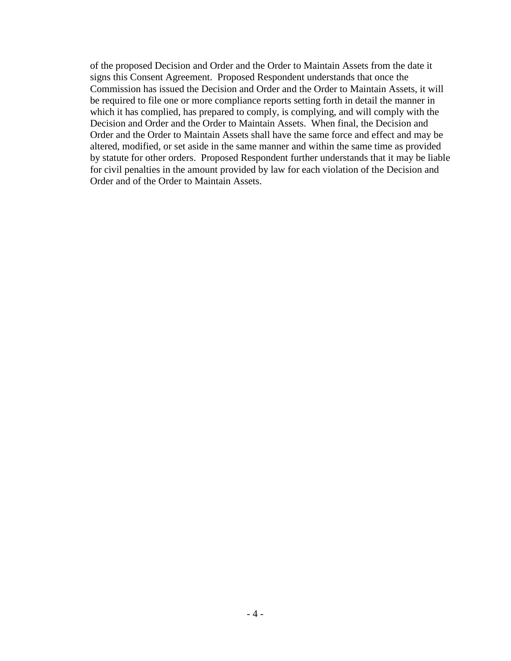of the proposed Decision and Order and the Order to Maintain Assets from the date it signs this Consent Agreement. Proposed Respondent understands that once the Commission has issued the Decision and Order and the Order to Maintain Assets, it will be required to file one or more compliance reports setting forth in detail the manner in which it has complied, has prepared to comply, is complying, and will comply with the Decision and Order and the Order to Maintain Assets. When final, the Decision and Order and the Order to Maintain Assets shall have the same force and effect and may be altered, modified, or set aside in the same manner and within the same time as provided by statute for other orders. Proposed Respondent further understands that it may be liable for civil penalties in the amount provided by law for each violation of the Decision and Order and of the Order to Maintain Assets.